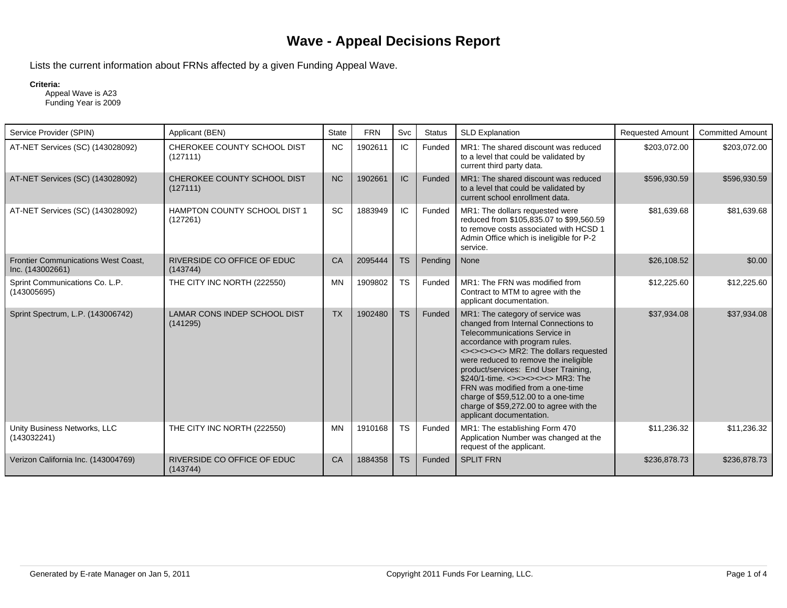## **Wave - Appeal Decisions Report**

Lists the current information about FRNs affected by a given Funding Appeal Wave.

## **Criteria:**

 Appeal Wave is A23 Funding Year is 2009

| Service Provider (SPIN)                                        | Applicant (BEN)                                 | State     | <b>FRN</b> | Svc       | <b>Status</b> | <b>SLD Explanation</b>                                                                                                                                                                                                                                                                                                                                                                                                                                            | <b>Requested Amount</b> | <b>Committed Amount</b> |
|----------------------------------------------------------------|-------------------------------------------------|-----------|------------|-----------|---------------|-------------------------------------------------------------------------------------------------------------------------------------------------------------------------------------------------------------------------------------------------------------------------------------------------------------------------------------------------------------------------------------------------------------------------------------------------------------------|-------------------------|-------------------------|
| AT-NET Services (SC) (143028092)                               | CHEROKEE COUNTY SCHOOL DIST<br>(127111)         | <b>NC</b> | 1902611    | IC.       | Funded        | MR1: The shared discount was reduced<br>to a level that could be validated by<br>current third party data.                                                                                                                                                                                                                                                                                                                                                        | \$203,072.00            | \$203,072.00            |
| AT-NET Services (SC) (143028092)                               | CHEROKEE COUNTY SCHOOL DIST<br>(127111)         | <b>NC</b> | 1902661    | IC        | Funded        | MR1: The shared discount was reduced<br>to a level that could be validated by<br>current school enrollment data.                                                                                                                                                                                                                                                                                                                                                  | \$596,930.59            | \$596,930.59            |
| AT-NET Services (SC) (143028092)                               | <b>HAMPTON COUNTY SCHOOL DIST 1</b><br>(127261) | SC        | 1883949    | IC.       | Funded        | MR1: The dollars requested were<br>reduced from \$105,835.07 to \$99,560.59<br>to remove costs associated with HCSD 1<br>Admin Office which is ineligible for P-2<br>service.                                                                                                                                                                                                                                                                                     | \$81,639.68             | \$81,639.68             |
| <b>Frontier Communications West Coast,</b><br>Inc. (143002661) | RIVERSIDE CO OFFICE OF EDUC<br>(143744)         | CA        | 2095444    | <b>TS</b> | Pending       | None                                                                                                                                                                                                                                                                                                                                                                                                                                                              | \$26,108.52             | \$0.00                  |
| Sprint Communications Co. L.P.<br>(143005695)                  | THE CITY INC NORTH (222550)                     | <b>MN</b> | 1909802    | <b>TS</b> | Funded        | MR1: The FRN was modified from<br>Contract to MTM to agree with the<br>applicant documentation.                                                                                                                                                                                                                                                                                                                                                                   | \$12,225.60             | \$12,225.60             |
| Sprint Spectrum, L.P. (143006742)                              | LAMAR CONS INDEP SCHOOL DIST<br>(141295)        | <b>TX</b> | 1902480    | <b>TS</b> | Funded        | MR1: The category of service was<br>changed from Internal Connections to<br>Telecommunications Service in<br>accordance with program rules.<br><><><><>>>>>> MR2: The dollars requested<br>were reduced to remove the ineligible<br>product/services: End User Training,<br>\$240/1-time. <><><><><>>>>MR3: The<br>FRN was modified from a one-time<br>charge of \$59,512.00 to a one-time<br>charge of \$59,272.00 to agree with the<br>applicant documentation. | \$37,934.08             | \$37,934.08             |
| Unity Business Networks, LLC<br>(143032241)                    | THE CITY INC NORTH (222550)                     | <b>MN</b> | 1910168    | <b>TS</b> | Funded        | MR1: The establishing Form 470<br>Application Number was changed at the<br>request of the applicant.                                                                                                                                                                                                                                                                                                                                                              | \$11,236.32             | \$11.236.32             |
| Verizon California Inc. (143004769)                            | RIVERSIDE CO OFFICE OF EDUC<br>(143744)         | CA        | 1884358    | <b>TS</b> | Funded        | <b>SPLIT FRN</b>                                                                                                                                                                                                                                                                                                                                                                                                                                                  | \$236,878.73            | \$236,878.73            |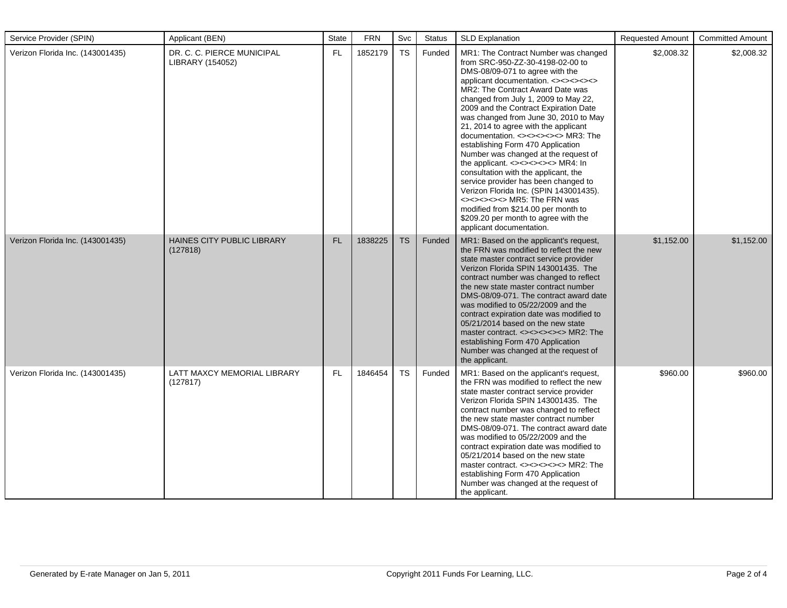| Service Provider (SPIN)          | Applicant (BEN)                                | State | <b>FRN</b> | Svc       | <b>Status</b> | <b>SLD Explanation</b>                                                                                                                                                                                                                                                                                                                                                                                                                                                                                                                                                                                                                                                                                                                                                                        | <b>Requested Amount</b> | <b>Committed Amount</b> |
|----------------------------------|------------------------------------------------|-------|------------|-----------|---------------|-----------------------------------------------------------------------------------------------------------------------------------------------------------------------------------------------------------------------------------------------------------------------------------------------------------------------------------------------------------------------------------------------------------------------------------------------------------------------------------------------------------------------------------------------------------------------------------------------------------------------------------------------------------------------------------------------------------------------------------------------------------------------------------------------|-------------------------|-------------------------|
| Verizon Florida Inc. (143001435) | DR. C. C. PIERCE MUNICIPAL<br>LIBRARY (154052) | FL    | 1852179    | <b>TS</b> | Funded        | MR1: The Contract Number was changed<br>from SRC-950-ZZ-30-4198-02-00 to<br>DMS-08/09-071 to agree with the<br>applicant documentation. <><><><><br>MR2: The Contract Award Date was<br>changed from July 1, 2009 to May 22,<br>2009 and the Contract Expiration Date<br>was changed from June 30, 2010 to May<br>21, 2014 to agree with the applicant<br>documentation. <><><><><>>>>>MR3: The<br>establishing Form 470 Application<br>Number was changed at the request of<br>the applicant. <><><><><>>>>>MR4: In<br>consultation with the applicant, the<br>service provider has been changed to<br>Verizon Florida Inc. (SPIN 143001435).<br><><><><><>>>>>> MR5: The FRN was<br>modified from \$214.00 per month to<br>\$209.20 per month to agree with the<br>applicant documentation. | \$2,008.32              | \$2,008.32              |
| Verizon Florida Inc. (143001435) | HAINES CITY PUBLIC LIBRARY<br>(127818)         | FL    | 1838225    | <b>TS</b> | Funded        | MR1: Based on the applicant's request,<br>the FRN was modified to reflect the new<br>state master contract service provider<br>Verizon Florida SPIN 143001435. The<br>contract number was changed to reflect<br>the new state master contract number<br>DMS-08/09-071. The contract award date<br>was modified to 05/22/2009 and the<br>contract expiration date was modified to<br>05/21/2014 based on the new state<br>master contract. <><><><><>>>>MR2: The<br>establishing Form 470 Application<br>Number was changed at the request of<br>the applicant.                                                                                                                                                                                                                                | \$1,152.00              | \$1,152.00              |
| Verizon Florida Inc. (143001435) | LATT MAXCY MEMORIAL LIBRARY<br>(127817)        | FL    | 1846454    | <b>TS</b> | Funded        | MR1: Based on the applicant's request,<br>the FRN was modified to reflect the new<br>state master contract service provider<br>Verizon Florida SPIN 143001435. The<br>contract number was changed to reflect<br>the new state master contract number<br>DMS-08/09-071. The contract award date<br>was modified to 05/22/2009 and the<br>contract expiration date was modified to<br>05/21/2014 based on the new state<br>master contract. <><><><><>>>>>MR2: The<br>establishing Form 470 Application<br>Number was changed at the request of<br>the applicant.                                                                                                                                                                                                                               | \$960.00                | \$960.00                |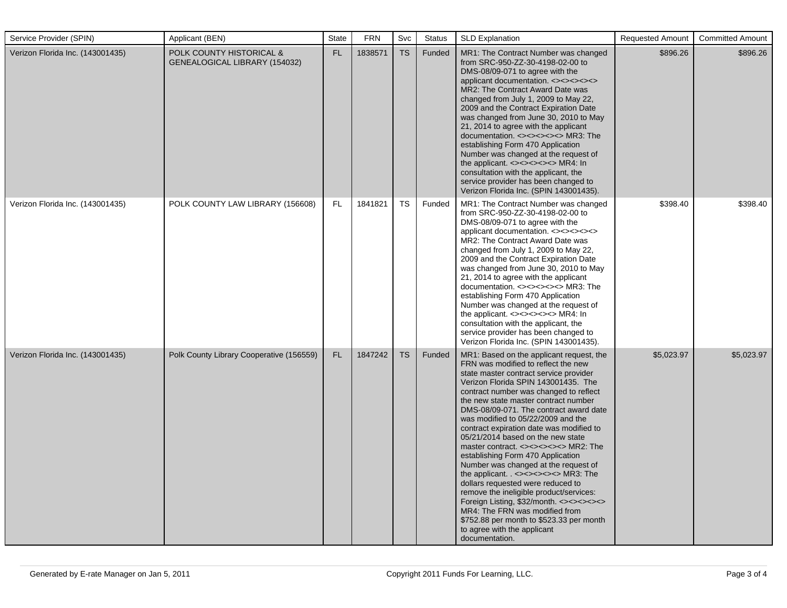| Service Provider (SPIN)          | Applicant (BEN)                                           | <b>State</b> | <b>FRN</b> | Svc       | <b>Status</b> | <b>SLD Explanation</b>                                                                                                                                                                                                                                                                                                                                                                                                                                                                                                                                                                                                                                                                                                                                                                                                                                       | <b>Requested Amount</b> | <b>Committed Amount</b> |
|----------------------------------|-----------------------------------------------------------|--------------|------------|-----------|---------------|--------------------------------------------------------------------------------------------------------------------------------------------------------------------------------------------------------------------------------------------------------------------------------------------------------------------------------------------------------------------------------------------------------------------------------------------------------------------------------------------------------------------------------------------------------------------------------------------------------------------------------------------------------------------------------------------------------------------------------------------------------------------------------------------------------------------------------------------------------------|-------------------------|-------------------------|
| Verizon Florida Inc. (143001435) | POLK COUNTY HISTORICAL &<br>GENEALOGICAL LIBRARY (154032) | FL           | 1838571    | <b>TS</b> | Funded        | MR1: The Contract Number was changed<br>from SRC-950-ZZ-30-4198-02-00 to<br>DMS-08/09-071 to agree with the<br>applicant documentation. <><><><><br>MR2: The Contract Award Date was<br>changed from July 1, 2009 to May 22,<br>2009 and the Contract Expiration Date<br>was changed from June 30, 2010 to May<br>21, 2014 to agree with the applicant<br>documentation. <><><><><>>>>>MR3: The<br>establishing Form 470 Application<br>Number was changed at the request of<br>the applicant. <><><><><>>>>MR4: In<br>consultation with the applicant, the<br>service provider has been changed to<br>Verizon Florida Inc. (SPIN 143001435).                                                                                                                                                                                                                | \$896.26                | \$896.26                |
| Verizon Florida Inc. (143001435) | POLK COUNTY LAW LIBRARY (156608)                          | FL.          | 1841821    | <b>TS</b> | Funded        | MR1: The Contract Number was changed<br>from SRC-950-ZZ-30-4198-02-00 to<br>DMS-08/09-071 to agree with the<br>applicant documentation. <><><><><br>MR2: The Contract Award Date was<br>changed from July 1, 2009 to May 22,<br>2009 and the Contract Expiration Date<br>was changed from June 30, 2010 to May<br>21, 2014 to agree with the applicant<br>documentation. <><><><><>>>>>MR3: The<br>establishing Form 470 Application<br>Number was changed at the request of<br>the applicant. $\langle \rangle \langle \rangle \langle \rangle \langle \rangle \langle \rangle \langle \rangle$ MR4: In<br>consultation with the applicant, the<br>service provider has been changed to<br>Verizon Florida Inc. (SPIN 143001435).                                                                                                                           | \$398.40                | \$398.40                |
| Verizon Florida Inc. (143001435) | Polk County Library Cooperative (156559)                  | FL.          | 1847242    | <b>TS</b> | Funded        | MR1: Based on the applicant request, the<br>FRN was modified to reflect the new<br>state master contract service provider<br>Verizon Florida SPIN 143001435. The<br>contract number was changed to reflect<br>the new state master contract number<br>DMS-08/09-071. The contract award date<br>was modified to 05/22/2009 and the<br>contract expiration date was modified to<br>05/21/2014 based on the new state<br>master contract. <><><><><>>>>MR2: The<br>establishing Form 470 Application<br>Number was changed at the request of<br>the applicant. $\left(-\right)$ <><><><><>>>>>MR3: The<br>dollars requested were reduced to<br>remove the ineligible product/services:<br>Foreign Listing, \$32/month. <><><><><br>MR4: The FRN was modified from<br>\$752.88 per month to \$523.33 per month<br>to agree with the applicant<br>documentation. | \$5,023.97              | \$5,023.97              |